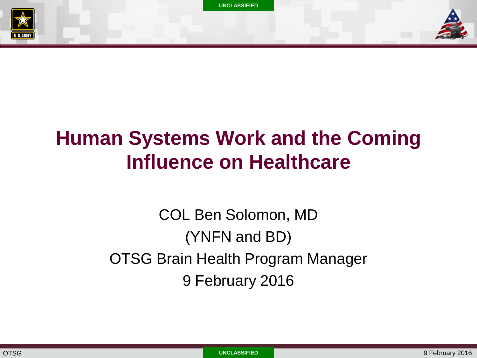



## **Human Systems Work and the Coming Influence on Healthcare**

COL Ben Solomon, MD (YNFN and BD) OTSG Brain Health Program Manager 9 February 2016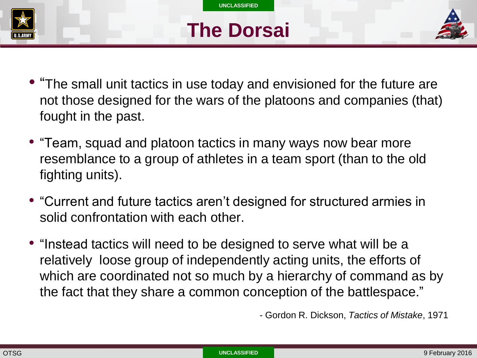

- "The small unit tactics in use today and envisioned for the future are not those designed for the wars of the platoons and companies (that) fought in the past.
- "Team, squad and platoon tactics in many ways now bear more resemblance to a group of athletes in a team sport (than to the old fighting units).
- "Current and future tactics aren't designed for structured armies in solid confrontation with each other.
- "Instead tactics will need to be designed to serve what will be a relatively loose group of independently acting units, the efforts of which are coordinated not so much by a hierarchy of command as by the fact that they share a common conception of the battlespace."

- Gordon R. Dickson, *Tactics of Mistake*, 1971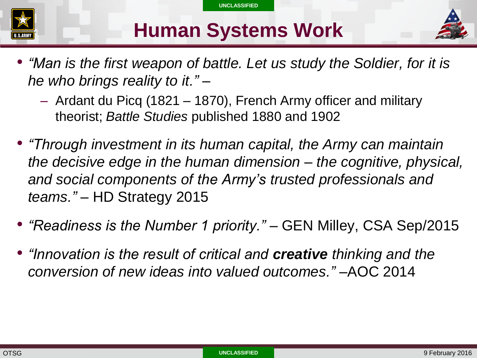

## **Human Systems Work**



- *"Man is the first weapon of battle. Let us study the Soldier, for it is he who brings reality to it."* –
	- Ardant du Picq (1821 1870), French Army officer and military theorist; *Battle Studies* published 1880 and 1902
- *"Through investment in its human capital, the Army can maintain the decisive edge in the human dimension – the cognitive, physical, and social components of the Army's trusted professionals and teams."* – HD Strategy 2015
- *"Readiness is the Number 1 priority."*  GEN Milley, CSA Sep/2015
- *"Innovation is the result of critical and creative thinking and the conversion of new ideas into valued outcomes."* –AOC 2014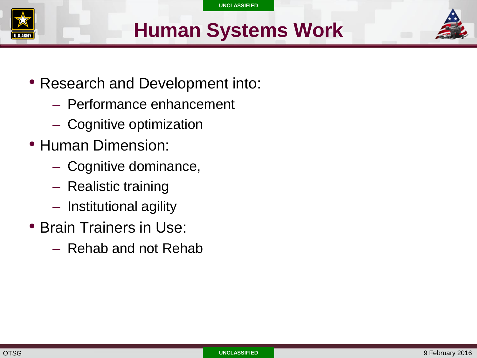

- Research and Development into:
	- Performance enhancement
	- Cognitive optimization
- Human Dimension:
	- Cognitive dominance,
	- Realistic training
	- Institutional agility
- Brain Trainers in Use:
	- Rehab and not Rehab

U.S.ARN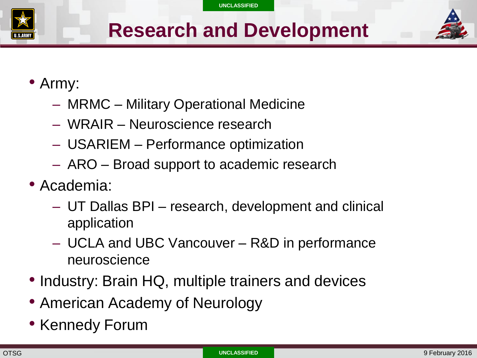## **Research and Development**

- Army:
	- MRMC Military Operational Medicine
	- WRAIR Neuroscience research
	- USARIEM Performance optimization
	- ARO Broad support to academic research
- Academia:
	- UT Dallas BPI research, development and clinical application
	- UCLA and UBC Vancouver R&D in performance neuroscience
- Industry: Brain HQ, multiple trainers and devices
- American Academy of Neurology
- Kennedy Forum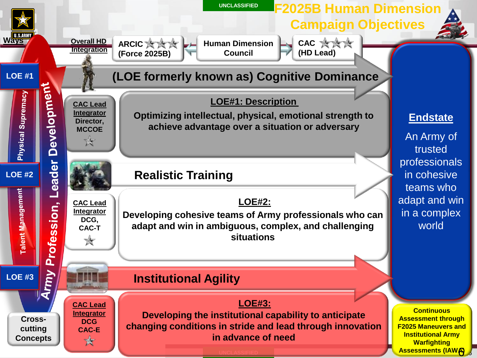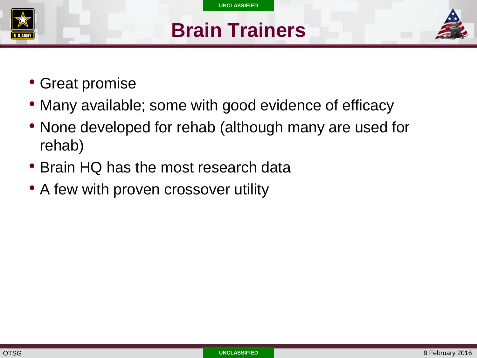

- Great promise
- Many available; some with good evidence of efficacy
- None developed for rehab (although many are used for rehab)
- Brain HQ has the most research data
- A few with proven crossover utility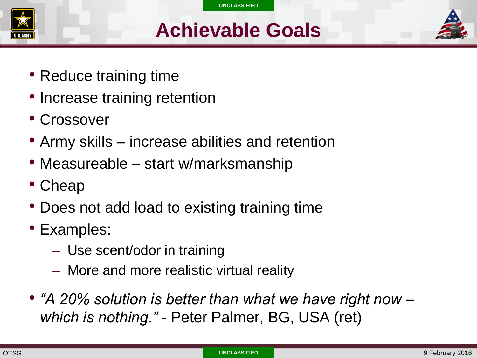

- Reduce training time
- Increase training retention
- Crossover
- Army skills increase abilities and retention
- Measureable start w/marksmanship
- Cheap
- Does not add load to existing training time
- Examples:
	- Use scent/odor in training
	- More and more realistic virtual reality
- *"A 20% solution is better than what we have right now – which is nothing."* - Peter Palmer, BG, USA (ret)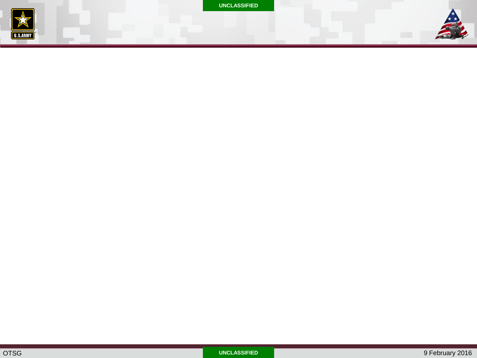**UNCLASSIFIED**KERA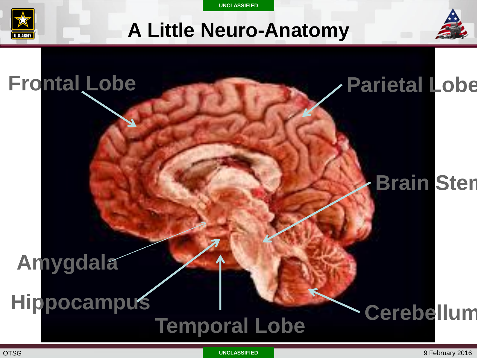

#### **A Little Neuro-Anatomy**

## **Frontal Lobe**

## **Parietal Lobe**

## **Brain Stem**

# **Amygdala**

## **Hippocampus**

**Cerebellum Temporal Lobe**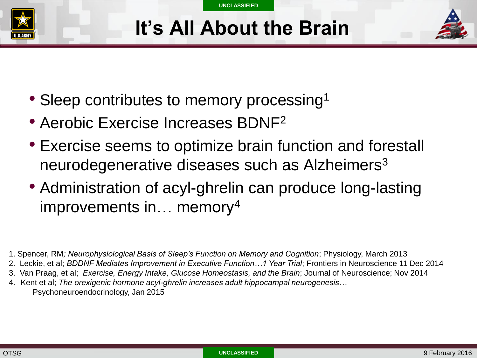

#### **It's All About the Brain**



- Aerobic Exercise Increases BDNF<sup>2</sup>
- Exercise seems to optimize brain function and forestall neurodegenerative diseases such as Alzheimers<sup>3</sup>
- Administration of acyl-ghrelin can produce long-lasting improvements in... memory<sup>4</sup>
- 1. Spencer, RM*; Neurophysiological Basis of Sleep's Function on Memory and Cognition*; Physiology, March 2013
- 2. Leckie, et al; *BDDNF Mediates Improvement in Executive Function…1 Year Trial*; Frontiers in Neuroscience 11 Dec 2014
- 3. Van Praag, et al; *Exercise, Energy Intake, Glucose Homeostasis, and the Brain*; Journal of Neuroscience; Nov 2014
- 4. Kent et al; *The orexigenic hormone acyl-ghrelin increases adult hippocampal neurogenesis…*  Psychoneuroendocrinology, Jan 2015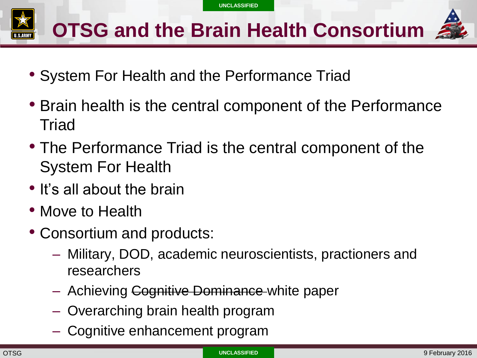

- System For Health and the Performance Triad
- Brain health is the central component of the Performance **Triad**
- The Performance Triad is the central component of the System For Health
- It's all about the brain
- Move to Health
- Consortium and products:
	- Military, DOD, academic neuroscientists, practioners and researchers
	- Achieving Cognitive Dominance white paper
	- Overarching brain health program
	- Cognitive enhancement program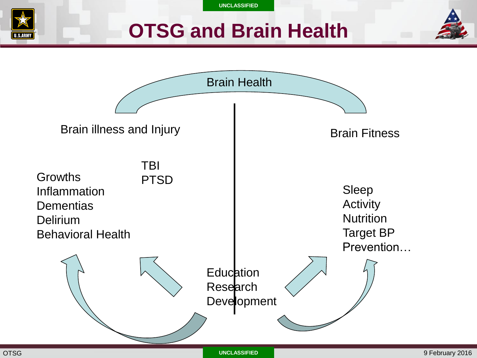

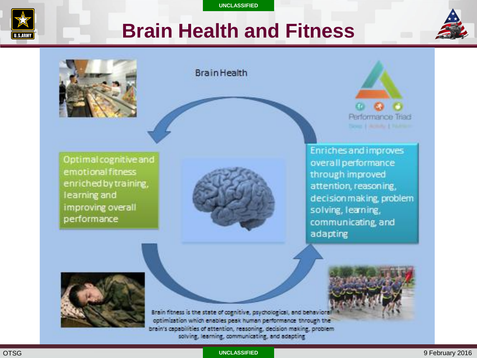

#### **Brain Health and Fitness**





**Brain Health** 



Optimal cognitive and emotional fitness enriched by training, learning and improving overall performance



Enriches and improves overall performance through improved attention, reasoning, decision making, problem solving, learning, communicating, and adapting



Brain fitness is the state of cognitive, psychological, and behaviors optimization which enables peak human performance through the brain's capabilities of attention, reasoning, decision making, problem solving, learning, communicating, and adapting

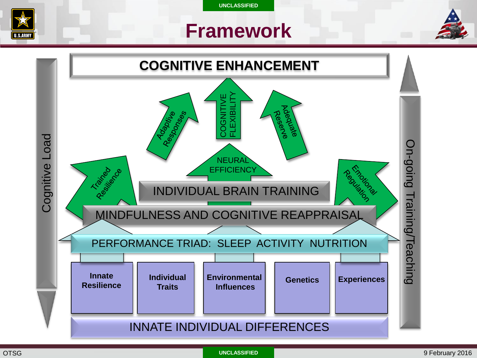





**U.S.ARMY**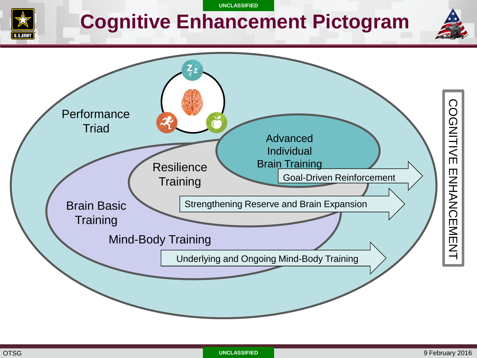





U.S.ARMY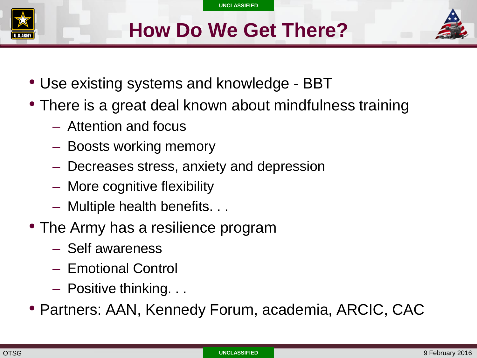

**How Do We Get There?**

**UNCLASSIFIED**



- Use existing systems and knowledge BBT
- There is a great deal known about mindfulness training
	- Attention and focus
	- Boosts working memory
	- Decreases stress, anxiety and depression
	- More cognitive flexibility
	- Multiple health benefits. . .
- The Army has a resilience program
	- Self awareness
	- Emotional Control
	- Positive thinking. . .
- Partners: AAN, Kennedy Forum, academia, ARCIC, CAC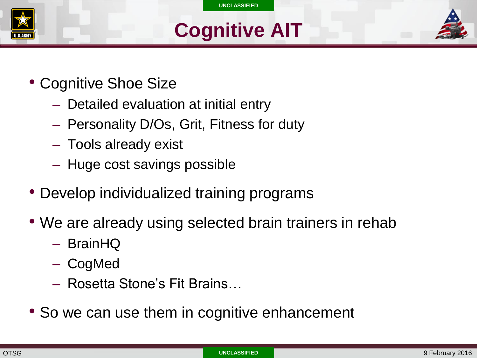

- Cognitive Shoe Size
	- Detailed evaluation at initial entry
	- Personality D/Os, Grit, Fitness for duty
	- Tools already exist
	- Huge cost savings possible
- Develop individualized training programs
- We are already using selected brain trainers in rehab
	- BrainHQ
	- CogMed
	- Rosetta Stone's Fit Brains…
- So we can use them in cognitive enhancement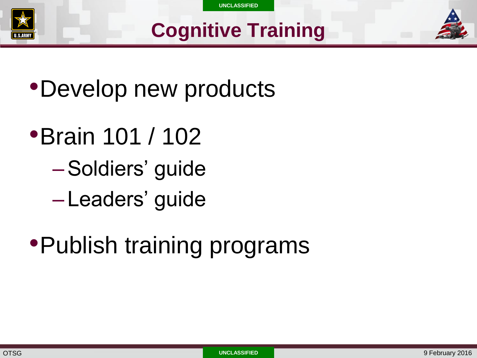

## **Cognitive Training**



- •Develop new products
- •Brain 101 / 102
	- –Soldiers' guide
	- Leaders' guide
- •Publish training programs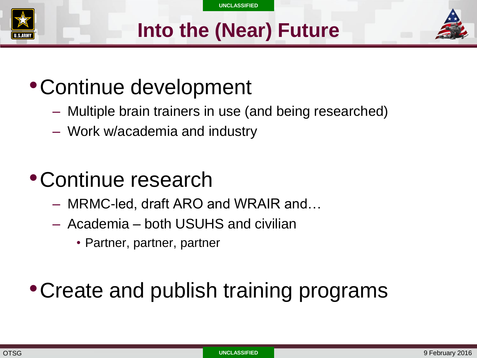

## **Into the (Near) Future**



## •Continue development

- Multiple brain trainers in use (and being researched)
- Work w/academia and industry

## •Continue research

- MRMC-led, draft ARO and WRAIR and…
- Academia both USUHS and civilian
	- Partner, partner, partner

## •Create and publish training programs